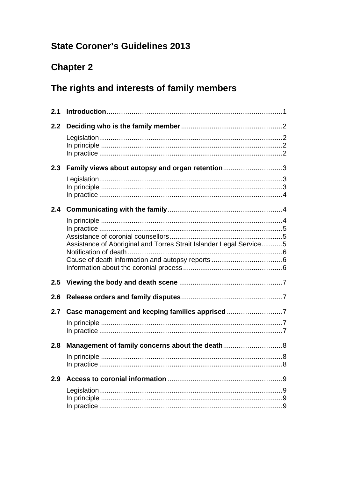# **State Coroner's Guidelines 2013**

# **Chapter 2**

# The rights and interests of family members

| 2.1 |                                                                    |
|-----|--------------------------------------------------------------------|
| 2.2 |                                                                    |
|     | 2.3 Family views about autopsy and organ retention3                |
|     |                                                                    |
|     |                                                                    |
|     | Assistance of Aboriginal and Torres Strait Islander Legal Service5 |
| 2.5 |                                                                    |
| 2.6 |                                                                    |
|     | 2.7 Case management and keeping families apprised 7                |
| 2.8 |                                                                    |
|     |                                                                    |
| 2.9 |                                                                    |
|     |                                                                    |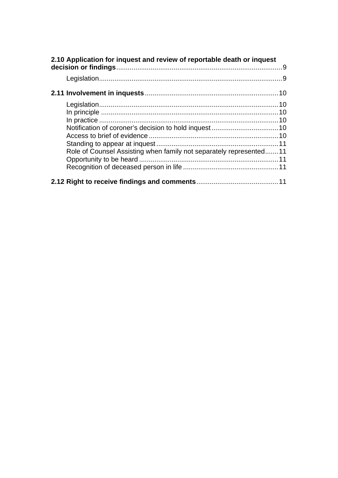| 2.10 Application for inquest and review of reportable death or inquest |  |
|------------------------------------------------------------------------|--|
|                                                                        |  |
|                                                                        |  |
|                                                                        |  |
|                                                                        |  |
|                                                                        |  |
|                                                                        |  |
|                                                                        |  |
|                                                                        |  |
| Role of Counsel Assisting when family not separately represented11     |  |
|                                                                        |  |
|                                                                        |  |
|                                                                        |  |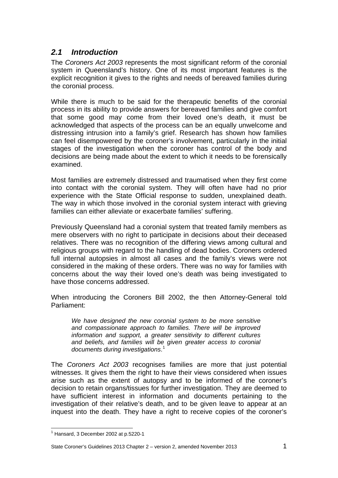### <span id="page-2-0"></span>*2.1 Introduction*

The *Coroners Act 2003* represents the most significant reform of the coronial system in Queensland's history. One of its most important features is the explicit recognition it gives to the rights and needs of bereaved families during the coronial process.

While there is much to be said for the therapeutic benefits of the coronial process in its ability to provide answers for bereaved families and give comfort that some good may come from their loved one's death, it must be acknowledged that aspects of the process can be an equally unwelcome and distressing intrusion into a family's grief. Research has shown how families can feel disempowered by the coroner's involvement, particularly in the initial stages of the investigation when the coroner has control of the body and decisions are being made about the extent to which it needs to be forensically examined.

Most families are extremely distressed and traumatised when they first come into contact with the coronial system. They will often have had no prior experience with the State Official response to sudden, unexplained death. The way in which those involved in the coronial system interact with grieving families can either alleviate or exacerbate families' suffering.

Previously Queensland had a coronial system that treated family members as mere observers with no right to participate in decisions about their deceased relatives. There was no recognition of the differing views among cultural and religious groups with regard to the handling of dead bodies. Coroners ordered full internal autopsies in almost all cases and the family's views were not considered in the making of these orders. There was no way for families with concerns about the way their loved one's death was being investigated to have those concerns addressed.

When introducing the Coroners Bill 2002, the then Attorney-General told Parliament:

*We have designed the new coronial system to be more sensitive and compassionate approach to families. There will be improved information and support, a greater sensitivity to different cultures and beliefs, and families will be given greater access to coronial documents during investigations*. [1](#page-2-1)

<span id="page-2-2"></span>The *Coroners Act 2003* recognises families are more that just potential witnesses. It gives them the right to have their views considered when issues arise such as the extent of autopsy and to be informed of the coroner's decision to retain organs/tissues for further investigation. They are deemed to have sufficient interest in information and documents pertaining to the investigation of their relative's death, and to be given leave to appear at an inquest into the death. They have a right to receive copies of the coroner's

<span id="page-2-1"></span><sup>1</sup>  $<sup>1</sup>$  Hansard, 3 December 2002 at p.5220-1</sup>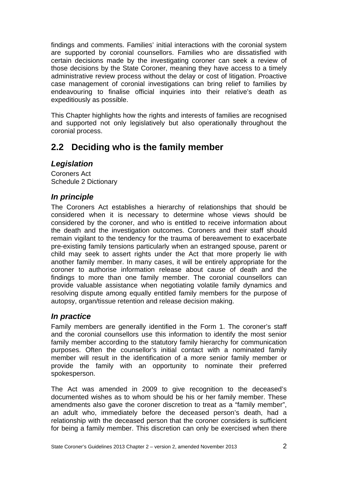findings and comments. Families' initial interactions with the coronial system are supported by coronial counsellors. Families who are dissatisfied with certain decisions made by the investigating coroner can seek a review of those decisions by the State Coroner, meaning they have access to a timely administrative review process without the delay or cost of litigation. Proactive case management of coronial investigations can bring relief to families by endeavouring to finalise official inquiries into their relative's death as expeditiously as possible.

This Chapter highlights how the rights and interests of families are recognised and supported not only legislatively but also operationally throughout the coronial process.

## <span id="page-3-0"></span>**2.2 Deciding who is the family member**

### <span id="page-3-1"></span>*Legislation*

Coroners Act Schedule 2 Dictionary

### <span id="page-3-2"></span>*In principle*

The Coroners Act establishes a hierarchy of relationships that should be considered when it is necessary to determine whose views should be considered by the coroner, and who is entitled to receive information about the death and the investigation outcomes. Coroners and their staff should remain vigilant to the tendency for the trauma of bereavement to exacerbate pre-existing family tensions particularly when an estranged spouse, parent or child may seek to assert rights under the Act that more properly lie with another family member. In many cases, it will be entirely appropriate for the coroner to authorise information release about cause of death and the findings to more than one family member. The coronial counsellors can provide valuable assistance when negotiating volatile family dynamics and resolving dispute among equally entitled family members for the purpose of autopsy, organ/tissue retention and release decision making.

### <span id="page-3-3"></span>*In practice*

Family members are generally identified in the Form 1. The coroner's staff and the coronial counsellors use this information to identify the most senior family member according to the statutory family hierarchy for communication purposes. Often the counsellor's initial contact with a nominated family member will result in the identification of a more senior family member or provide the family with an opportunity to nominate their preferred spokesperson.

The Act was amended in 2009 to give recognition to the deceased's documented wishes as to whom should be his or her family member. These amendments also gave the coroner discretion to treat as a "family member", an adult who, immediately before the deceased person's death, had a relationship with the deceased person that the coroner considers is sufficient for being a family member. This discretion can only be exercised when there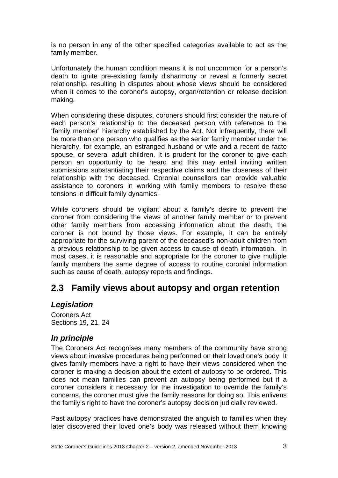is no person in any of the other specified categories available to act as the family member.

Unfortunately the human condition means it is not uncommon for a person's death to ignite pre-existing family disharmony or reveal a formerly secret relationship, resulting in disputes about whose views should be considered when it comes to the coroner's autopsy, organ/retention or release decision making.

When considering these disputes, coroners should first consider the nature of each person's relationship to the deceased person with reference to the 'family member' hierarchy established by the Act. Not infrequently, there will be more than one person who qualifies as the senior family member under the hierarchy, for example, an estranged husband or wife and a recent de facto spouse, or several adult children. It is prudent for the coroner to give each person an opportunity to be heard and this may entail inviting written submissions substantiating their respective claims and the closeness of their relationship with the deceased. Coronial counsellors can provide valuable assistance to coroners in working with family members to resolve these tensions in difficult family dynamics.

While coroners should be vigilant about a family's desire to prevent the coroner from considering the views of another family member or to prevent other family members from accessing information about the death, the coroner is not bound by those views. For example, it can be entirely appropriate for the surviving parent of the deceased's non-adult children from a previous relationship to be given access to cause of death information. In most cases, it is reasonable and appropriate for the coroner to give multiple family members the same degree of access to routine coronial information such as cause of death, autopsy reports and findings.

## <span id="page-4-0"></span>**2.3 Family views about autopsy and organ retention**

### <span id="page-4-1"></span>*Legislation*

Coroners Act Sections 19, 21, 24

### <span id="page-4-2"></span>*In principle*

The Coroners Act recognises many members of the community have strong views about invasive procedures being performed on their loved one's body. It gives family members have a right to have their views considered when the coroner is making a decision about the extent of autopsy to be ordered. This does not mean families can prevent an autopsy being performed but if a coroner considers it necessary for the investigation to override the family's concerns, the coroner must give the family reasons for doing so. This enlivens the family's right to have the coroner's autopsy decision judicially reviewed.

Past autopsy practices have demonstrated the anguish to families when they later discovered their loved one's body was released without them knowing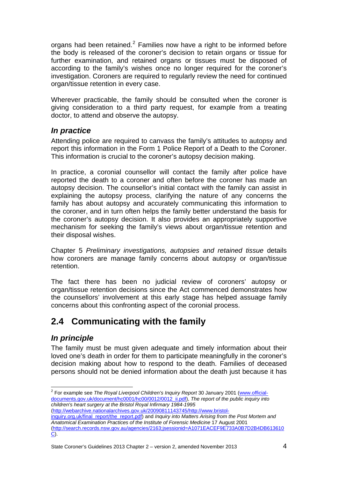organs had been retained. $2$  Families now have a right to be informed before the body is released of the coroner's decision to retain organs or tissue for further examination, and retained organs or tissues must be disposed of according to the family's wishes once no longer required for the coroner's investigation. Coroners are required to regularly review the need for continued organ/tissue retention in every case.

Wherever practicable, the family should be consulted when the coroner is giving consideration to a third party request, for example from a treating doctor, to attend and observe the autopsy.

### <span id="page-5-0"></span>*In practice*

Attending police are required to canvass the family's attitudes to autopsy and report this information in the Form 1 Police Report of a Death to the Coroner. This information is crucial to the coroner's autopsy decision making.

In practice, a coronial counsellor will contact the family after police have reported the death to a coroner and often before the coroner has made an autopsy decision. The counsellor's initial contact with the family can assist in explaining the autopsy process, clarifying the nature of any concerns the family has about autopsy and accurately communicating this information to the coroner, and in turn often helps the family better understand the basis for the coroner's autopsy decision. It also provides an appropriately supportive mechanism for seeking the family's views about organ/tissue retention and their disposal wishes.

Chapter 5 *Preliminary investigations, autopsies and retained tissue* details how coroners are manage family concerns about autopsy or organ/tissue retention.

The fact there has been no judicial review of coroners' autopsy or organ/tissue retention decisions since the Act commenced demonstrates how the counsellors' involvement at this early stage has helped assuage family concerns about this confronting aspect of the coronial process.

## <span id="page-5-1"></span>**2.4 Communicating with the family**

### <span id="page-5-2"></span>*In principle*

The family must be must given adequate and timely information about their loved one's death in order for them to participate meaningfully in the coroner's decision making about how to respond to the death. Families of deceased persons should not be denied information about the death just because it has

<sup>1</sup> 2 For example see *The Royal Liverpool Children's Inquiry Report* 30 January 2001 ([www.official](http://www.official-documents.gov.uk/document/hc0001/hc00/0012/0012_ii.pdf)[documents.gov.uk/document/hc0001/hc00/0012/0012\\_ii.pdf](http://www.official-documents.gov.uk/document/hc0001/hc00/0012/0012_ii.pdf)), *The report of the public inquiry into children's heart surgery at the Bristol Royal Infirmary 1984-1995*

<span id="page-5-3"></span><sup>(</sup>[http://webarchive.nationalarchives.gov.uk/20090811143745/http://www.bristol](http://webarchive.nationalarchives.gov.uk/20090811143745/http://www.bristol-inquiry.org.uk/final_report/the_report.pdf)[inquiry.org.uk/final\\_report/the\\_report.pdf](http://webarchive.nationalarchives.gov.uk/20090811143745/http://www.bristol-inquiry.org.uk/final_report/the_report.pdf)) and *Inquiry into Matters Arising from the Post Mortem and Anatomical Examination Practices of the Institute of Forensic Medicine* 17 August 2001 [\(http://search.records.nsw.gov.au/agencies/2163;jsessionid=A1071EACEF9E733A0B7D2B4DB613610](http://search.records.nsw.gov.au/agencies/2163;jsessionid=A1071EACEF9E733A0B7D2B4DB613610C) [C](http://search.records.nsw.gov.au/agencies/2163;jsessionid=A1071EACEF9E733A0B7D2B4DB613610C)).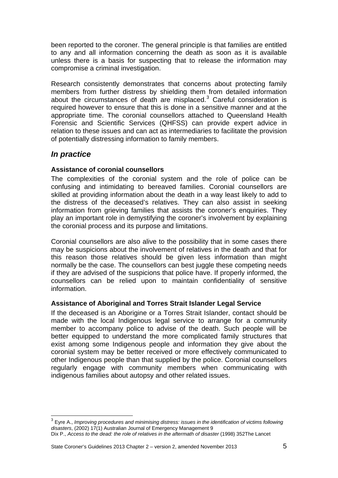been reported to the coroner. The general principle is that families are entitled to any and all information concerning the death as soon as it is available unless there is a basis for suspecting that to release the information may compromise a criminal investigation.

Research consistently demonstrates that concerns about protecting family members from further distress by shielding them from detailed information about the circumstances of death are misplaced. $3$  Careful consideration is required however to ensure that this is done in a sensitive manner and at the appropriate time. The coronial counsellors attached to Queensland Health Forensic and Scientific Services (QHFSS) can provide expert advice in relation to these issues and can act as intermediaries to facilitate the provision of potentially distressing information to family members.

#### <span id="page-6-0"></span>*In practice*

1

#### <span id="page-6-1"></span>**Assistance of coronial counsellors**

The complexities of the coronial system and the role of police can be confusing and intimidating to bereaved families. Coronial counsellors are skilled at providing information about the death in a way least likely to add to the distress of the deceased's relatives. They can also assist in seeking information from grieving families that assists the coroner's enquiries. They play an important role in demystifying the coroner's involvement by explaining the coronial process and its purpose and limitations.

Coronial counsellors are also alive to the possibility that in some cases there may be suspicions about the involvement of relatives in the death and that for this reason those relatives should be given less information than might normally be the case. The counsellors can best juggle these competing needs if they are advised of the suspicions that police have. If properly informed, the counsellors can be relied upon to maintain confidentiality of sensitive information.

#### <span id="page-6-2"></span>**Assistance of Aboriginal and Torres Strait Islander Legal Service**

If the deceased is an Aborigine or a Torres Strait Islander, contact should be made with the local Indigenous legal service to arrange for a community member to accompany police to advise of the death. Such people will be better equipped to understand the more complicated family structures that exist among some Indigenous people and information they give about the coronial system may be better received or more effectively communicated to other Indigenous people than that supplied by the police. Coronial counsellors regularly engage with community members when communicating with indigenous families about autopsy and other related issues.

<span id="page-6-3"></span><sup>3</sup> Eyre A., *Improving procedures and minimising distress: issues in the identification of victims following disasters*, (2002) 17(1) Australian Journal of Emergency Management 9 Dix P., *Access to the dead: the role of relatives in the aftermath of disaster* (1998) 352The Lancet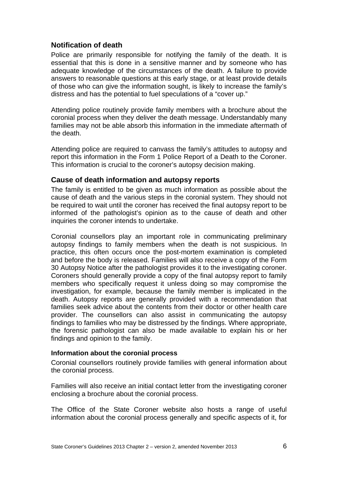#### <span id="page-7-0"></span>**Notification of death**

Police are primarily responsible for notifying the family of the death. It is essential that this is done in a sensitive manner and by someone who has adequate knowledge of the circumstances of the death. A failure to provide answers to reasonable questions at this early stage, or at least provide details of those who can give the information sought, is likely to increase the family's distress and has the potential to fuel speculations of a "cover up."

Attending police routinely provide family members with a brochure about the coronial process when they deliver the death message. Understandably many families may not be able absorb this information in the immediate aftermath of the death.

Attending police are required to canvass the family's attitudes to autopsy and report this information in the Form 1 Police Report of a Death to the Coroner. This information is crucial to the coroner's autopsy decision making.

#### <span id="page-7-1"></span>**Cause of death information and autopsy reports**

The family is entitled to be given as much information as possible about the cause of death and the various steps in the coronial system. They should not be required to wait until the coroner has received the final autopsy report to be informed of the pathologist's opinion as to the cause of death and other inquiries the coroner intends to undertake.

Coronial counsellors play an important role in communicating preliminary autopsy findings to family members when the death is not suspicious. In practice, this often occurs once the post-mortem examination is completed and before the body is released. Families will also receive a copy of the Form 30 Autopsy Notice after the pathologist provides it to the investigating coroner. Coroners should generally provide a copy of the final autopsy report to family members who specifically request it unless doing so may compromise the investigation, for example, because the family member is implicated in the death. Autopsy reports are generally provided with a recommendation that families seek advice about the contents from their doctor or other health care provider. The counsellors can also assist in communicating the autopsy findings to families who may be distressed by the findings. Where appropriate, the forensic pathologist can also be made available to explain his or her findings and opinion to the family.

#### <span id="page-7-2"></span>**Information about the coronial process**

Coronial counsellors routinely provide families with general information about the coronial process.

Families will also receive an initial contact letter from the investigating coroner enclosing a brochure about the coronial process.

The Office of the State Coroner website also hosts a range of useful information about the coronial process generally and specific aspects of it, for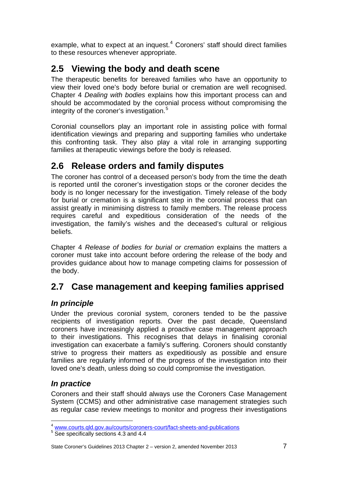example, what to expect at an inquest. $4$  Coroners' staff should direct families to these resources whenever appropriate.

# <span id="page-8-0"></span>**2.5 Viewing the body and death scene**

The therapeutic benefits for bereaved families who have an opportunity to view their loved one's body before burial or cremation are well recognised. Chapter 4 *Dealing with bodies* explains how this important process can and should be accommodated by the coronial process without compromising the integrity of the coroner's investigation.<sup>[5](#page-8-5)</sup>

Coronial counsellors play an important role in assisting police with formal identification viewings and preparing and supporting families who undertake this confronting task. They also play a vital role in arranging supporting families at therapeutic viewings before the body is released.

## <span id="page-8-1"></span>**2.6 Release orders and family disputes**

The coroner has control of a deceased person's body from the time the death is reported until the coroner's investigation stops or the coroner decides the body is no longer necessary for the investigation. Timely release of the body for burial or cremation is a significant step in the coronial process that can assist greatly in minimising distress to family members. The release process requires careful and expeditious consideration of the needs of the investigation, the family's wishes and the deceased's cultural or religious beliefs.

Chapter 4 *Release of bodies for burial or cremation* explains the matters a coroner must take into account before ordering the release of the body and provides guidance about how to manage competing claims for possession of the body.

## <span id="page-8-2"></span>**2.7 Case management and keeping families apprised**

## <span id="page-8-3"></span>*In principle*

Under the previous coronial system, coroners tended to be the passive recipients of investigation reports. Over the past decade, Queensland coroners have increasingly applied a proactive case management approach to their investigations. This recognises that delays in finalising coronial investigation can exacerbate a family's suffering. Coroners should constantly strive to progress their matters as expeditiously as possible and ensure families are regularly informed of the progress of the investigation into their loved one's death, unless doing so could compromise the investigation.

## <span id="page-8-4"></span>*In practice*

Coroners and their staff should always use the Coroners Case Management System (CCMS) and other administrative case management strategies such as regular case review meetings to monitor and progress their investigations

<sup>&</sup>lt;u>.</u> <sup>4</sup> [www.courts.qld.gov.au/courts/coroners-court/fact-sheets-and-publications](http://www.courts.qld.gov.au/courts/coroners-court/fact-sheets-and-publications) 5

<span id="page-8-6"></span><span id="page-8-5"></span><sup>&</sup>lt;sup>5</sup> See specifically sections 4.3 and 4.4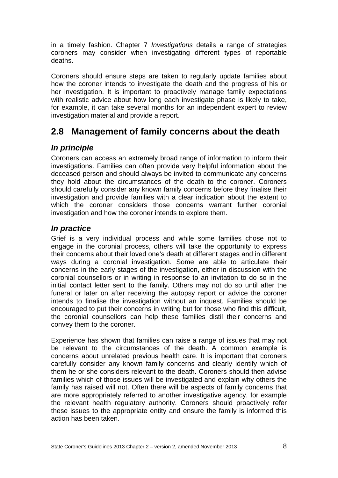in a timely fashion. Chapter 7 *Investigations* details a range of strategies coroners may consider when investigating different types of reportable deaths.

Coroners should ensure steps are taken to regularly update families about how the coroner intends to investigate the death and the progress of his or her investigation. It is important to proactively manage family expectations with realistic advice about how long each investigate phase is likely to take, for example, it can take several months for an independent expert to review investigation material and provide a report.

## <span id="page-9-0"></span>**2.8 Management of family concerns about the death**

### <span id="page-9-1"></span>*In principle*

Coroners can access an extremely broad range of information to inform their investigations. Families can often provide very helpful information about the deceased person and should always be invited to communicate any concerns they hold about the circumstances of the death to the coroner. Coroners should carefully consider any known family concerns before they finalise their investigation and provide families with a clear indication about the extent to which the coroner considers those concerns warrant further coronial investigation and how the coroner intends to explore them.

### <span id="page-9-2"></span>*In practice*

Grief is a very individual process and while some families chose not to engage in the coronial process, others will take the opportunity to express their concerns about their loved one's death at different stages and in different ways during a coronial investigation. Some are able to articulate their concerns in the early stages of the investigation, either in discussion with the coronial counsellors or in writing in response to an invitation to do so in the initial contact letter sent to the family. Others may not do so until after the funeral or later on after receiving the autopsy report or advice the coroner intends to finalise the investigation without an inquest. Families should be encouraged to put their concerns in writing but for those who find this difficult, the coronial counsellors can help these families distil their concerns and convey them to the coroner.

Experience has shown that families can raise a range of issues that may not be relevant to the circumstances of the death. A common example is concerns about unrelated previous health care. It is important that coroners carefully consider any known family concerns and clearly identify which of them he or she considers relevant to the death. Coroners should then advise families which of those issues will be investigated and explain why others the family has raised will not. Often there will be aspects of family concerns that are more appropriately referred to another investigative agency, for example the relevant health regulatory authority. Coroners should proactively refer these issues to the appropriate entity and ensure the family is informed this action has been taken.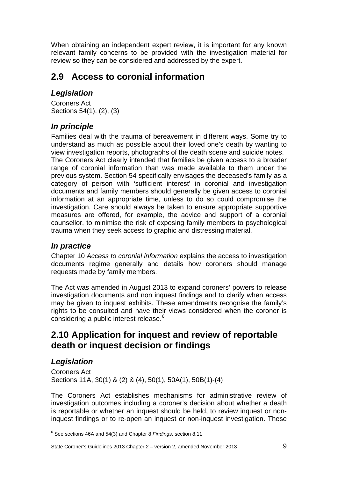When obtaining an independent expert review, it is important for any known relevant family concerns to be provided with the investigation material for review so they can be considered and addressed by the expert.

## <span id="page-10-0"></span>**2.9 Access to coronial information**

### <span id="page-10-1"></span>*Legislation*

Coroners Act Sections 54(1), (2), (3)

### <span id="page-10-2"></span>*In principle*

Families deal with the trauma of bereavement in different ways. Some try to understand as much as possible about their loved one's death by wanting to view investigation reports, photographs of the death scene and suicide notes. The Coroners Act clearly intended that families be given access to a broader range of coronial information than was made available to them under the previous system. Section 54 specifically envisages the deceased's family as a category of person with 'sufficient interest' in coronial and investigation documents and family members should generally be given access to coronial information at an appropriate time, unless to do so could compromise the investigation. Care should always be taken to ensure appropriate supportive measures are offered, for example, the advice and support of a coronial counsellor, to minimise the risk of exposing family members to psychological trauma when they seek access to graphic and distressing material.

### <span id="page-10-3"></span>*In practice*

Chapter 10 *Access to coronial information* explains the access to investigation documents regime generally and details how coroners should manage requests made by family members.

The Act was amended in August 2013 to expand coroners' powers to release investigation documents and non inquest findings and to clarify when access may be given to inquest exhibits. These amendments recognise the family's rights to be consulted and have their views considered when the coroner is considering a public interest release.[6](#page-8-6)

## <span id="page-10-4"></span>**2.10 Application for inquest and review of reportable death or inquest decision or findings**

## <span id="page-10-5"></span>*Legislation*

Coroners Act Sections 11A, 30(1) & (2) & (4), 50(1), 50A(1), 50B(1)-(4)

The Coroners Act establishes mechanisms for administrative review of investigation outcomes including a coroner's decision about whether a death is reportable or whether an inquest should be held, to review inquest or noninquest findings or to re-open an inquest or non-inquest investigation. These

<sup>1</sup> 6 See sections 46A and 54(3) and Chapter 8 *Findings*, section 8.11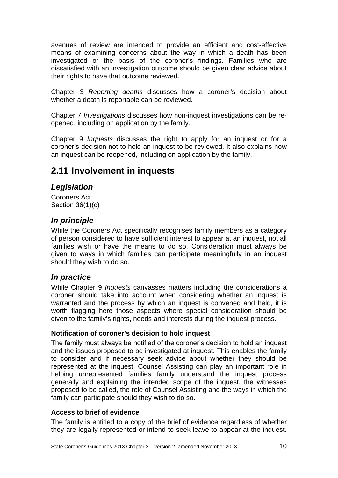avenues of review are intended to provide an efficient and cost-effective means of examining concerns about the way in which a death has been investigated or the basis of the coroner's findings. Families who are dissatisfied with an investigation outcome should be given clear advice about their rights to have that outcome reviewed.

Chapter 3 *Reporting deaths* discusses how a coroner's decision about whether a death is reportable can be reviewed.

Chapter 7 *Investigations* discusses how non-inquest investigations can be reopened, including on application by the family.

Chapter 9 *Inquests* discusses the right to apply for an inquest or for a coroner's decision not to hold an inquest to be reviewed. It also explains how an inquest can be reopened, including on application by the family.

## <span id="page-11-0"></span>**2.11 Involvement in inquests**

### <span id="page-11-1"></span>*Legislation*

Coroners Act Section 36(1)(c)

### <span id="page-11-2"></span>*In principle*

While the Coroners Act specifically recognises family members as a category of person considered to have sufficient interest to appear at an inquest, not all families wish or have the means to do so. Consideration must always be given to ways in which families can participate meaningfully in an inquest should they wish to do so.

### <span id="page-11-3"></span>*In practice*

While Chapter 9 *Inquests* canvasses matters including the considerations a coroner should take into account when considering whether an inquest is warranted and the process by which an inquest is convened and held, it is worth flagging here those aspects where special consideration should be given to the family's rights, needs and interests during the inquest process.

#### <span id="page-11-4"></span>**Notification of coroner's decision to hold inquest**

The family must always be notified of the coroner's decision to hold an inquest and the issues proposed to be investigated at inquest. This enables the family to consider and if necessary seek advice about whether they should be represented at the inquest. Counsel Assisting can play an important role in helping unrepresented families family understand the inquest process generally and explaining the intended scope of the inquest, the witnesses proposed to be called, the role of Counsel Assisting and the ways in which the family can participate should they wish to do so.

#### <span id="page-11-5"></span>**Access to brief of evidence**

The family is entitled to a copy of the brief of evidence regardless of whether they are legally represented or intend to seek leave to appear at the inquest.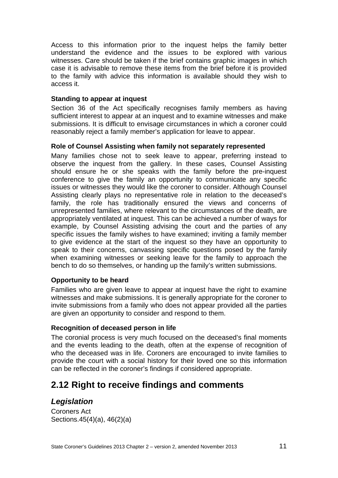Access to this information prior to the inquest helps the family better understand the evidence and the issues to be explored with various witnesses. Care should be taken if the brief contains graphic images in which case it is advisable to remove these items from the brief before it is provided to the family with advice this information is available should they wish to access it.

#### <span id="page-12-0"></span>**Standing to appear at inquest**

Section 36 of the Act specifically recognises family members as having sufficient interest to appear at an inquest and to examine witnesses and make submissions. It is difficult to envisage circumstances in which a coroner could reasonably reject a family member's application for leave to appear.

#### <span id="page-12-1"></span>**Role of Counsel Assisting when family not separately represented**

Many families chose not to seek leave to appear, preferring instead to observe the inquest from the gallery. In these cases, Counsel Assisting should ensure he or she speaks with the family before the pre-inquest conference to give the family an opportunity to communicate any specific issues or witnesses they would like the coroner to consider. Although Counsel Assisting clearly plays no representative role in relation to the deceased's family, the role has traditionally ensured the views and concerns of unrepresented families, where relevant to the circumstances of the death, are appropriately ventilated at inquest. This can be achieved a number of ways for example, by Counsel Assisting advising the court and the parties of any specific issues the family wishes to have examined; inviting a family member to give evidence at the start of the inquest so they have an opportunity to speak to their concerns, canvassing specific questions posed by the family when examining witnesses or seeking leave for the family to approach the bench to do so themselves, or handing up the family's written submissions.

#### <span id="page-12-2"></span>**Opportunity to be heard**

Families who are given leave to appear at inquest have the right to examine witnesses and make submissions. It is generally appropriate for the coroner to invite submissions from a family who does not appear provided all the parties are given an opportunity to consider and respond to them.

#### <span id="page-12-3"></span>**Recognition of deceased person in life**

The coronial process is very much focused on the deceased's final moments and the events leading to the death, often at the expense of recognition of who the deceased was in life. Coroners are encouraged to invite families to provide the court with a social history for their loved one so this information can be reflected in the coroner's findings if considered appropriate.

## <span id="page-12-4"></span>**2.12 Right to receive findings and comments**

### *Legislation*

Coroners Act Sections.45(4)(a), 46(2)(a)